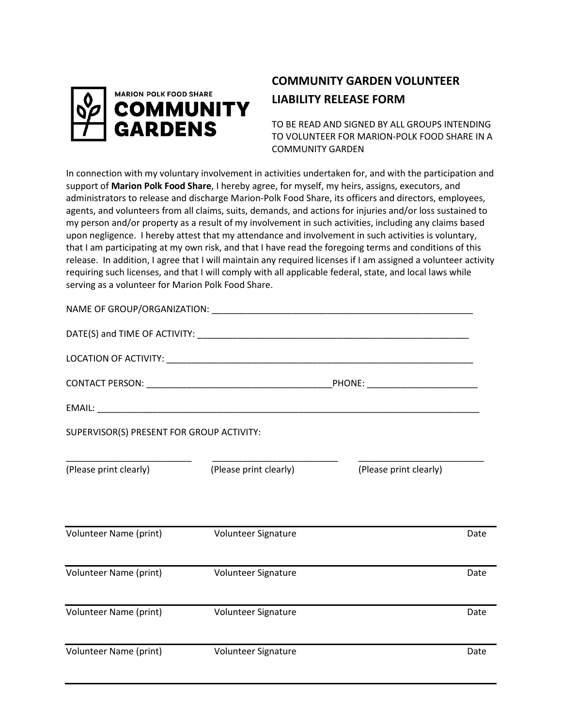

## **COMMUNITY GARDEN VOLUNTEER LIABILITY RELEASE FORM**

TO BE READ AND SIGNED BY ALL GROUPS INTENDING TO VOLUNTEER FOR MARION-POLK FOOD SHARE IN A COMMUNITY GARDEN

In connection with my voluntary involvement in activities undertaken for, and with the participation and support of **Marion Polk Food Share**, I hereby agree, for myself, my heirs, assigns, executors, and administrators to release and discharge Marion-Polk Food Share, its officers and directors, employees, agents, and volunteers from all claims, suits, demands, and actions for injuries and/or loss sustained to my person and/or property as a result of my involvement in such activities, including any claims based upon negligence. I hereby attest that my attendance and involvement in such activities is voluntary, that I am participating at my own risk, and that I have read the foregoing terms and conditions of this release. In addition, I agree that I will maintain any required licenses if I am assigned a volunteer activity requiring such licenses, and that I will comply with all applicable federal, state, and local laws while serving as a volunteer for Marion Polk Food Share.

| SUPERVISOR(S) PRESENT FOR GROUP ACTIVITY: |                        |                        |      |
|-------------------------------------------|------------------------|------------------------|------|
| (Please print clearly)                    | (Please print clearly) | (Please print clearly) |      |
| Volunteer Name (print)                    | Volunteer Signature    |                        | Date |
| Volunteer Name (print)                    | Volunteer Signature    |                        | Date |
| Volunteer Name (print)                    | Volunteer Signature    |                        | Date |
| Volunteer Name (print)                    | Volunteer Signature    |                        | Date |